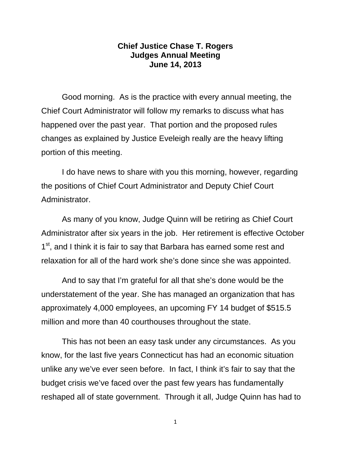## **Chief Justice Chase T. Rogers Judges Annual Meeting June 14, 2013**

Good morning. As is the practice with every annual meeting, the Chief Court Administrator will follow my remarks to discuss what has happened over the past year. That portion and the proposed rules changes as explained by Justice Eveleigh really are the heavy lifting portion of this meeting.

 I do have news to share with you this morning, however, regarding the positions of Chief Court Administrator and Deputy Chief Court Administrator.

 As many of you know, Judge Quinn will be retiring as Chief Court Administrator after six years in the job. Her retirement is effective October 1<sup>st</sup>, and I think it is fair to say that Barbara has earned some rest and relaxation for all of the hard work she's done since she was appointed.

 And to say that I'm grateful for all that she's done would be the understatement of the year. She has managed an organization that has approximately 4,000 employees, an upcoming FY 14 budget of \$515.5 million and more than 40 courthouses throughout the state.

 This has not been an easy task under any circumstances. As you know, for the last five years Connecticut has had an economic situation unlike any we've ever seen before. In fact, I think it's fair to say that the budget crisis we've faced over the past few years has fundamentally reshaped all of state government. Through it all, Judge Quinn has had to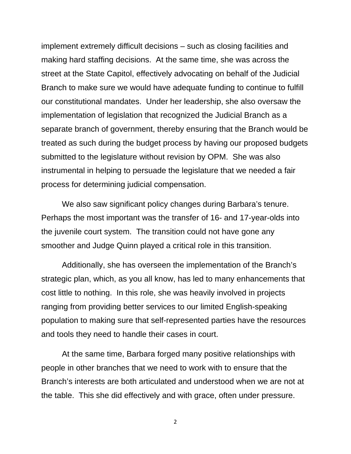implement extremely difficult decisions – such as closing facilities and making hard staffing decisions. At the same time, she was across the street at the State Capitol, effectively advocating on behalf of the Judicial Branch to make sure we would have adequate funding to continue to fulfill our constitutional mandates. Under her leadership, she also oversaw the implementation of legislation that recognized the Judicial Branch as a separate branch of government, thereby ensuring that the Branch would be treated as such during the budget process by having our proposed budgets submitted to the legislature without revision by OPM. She was also instrumental in helping to persuade the legislature that we needed a fair process for determining judicial compensation.

 We also saw significant policy changes during Barbara's tenure. Perhaps the most important was the transfer of 16- and 17-year-olds into the juvenile court system. The transition could not have gone any smoother and Judge Quinn played a critical role in this transition.

 Additionally, she has overseen the implementation of the Branch's strategic plan, which, as you all know, has led to many enhancements that cost little to nothing. In this role, she was heavily involved in projects ranging from providing better services to our limited English-speaking population to making sure that self-represented parties have the resources and tools they need to handle their cases in court.

 At the same time, Barbara forged many positive relationships with people in other branches that we need to work with to ensure that the Branch's interests are both articulated and understood when we are not at the table. This she did effectively and with grace, often under pressure.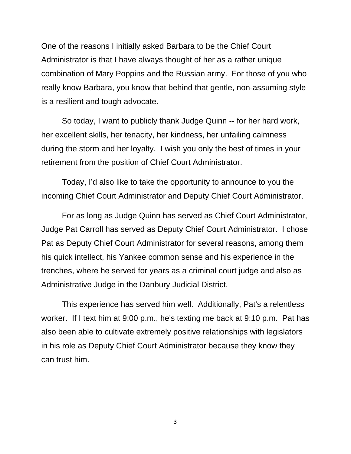One of the reasons I initially asked Barbara to be the Chief Court Administrator is that I have always thought of her as a rather unique combination of Mary Poppins and the Russian army. For those of you who really know Barbara, you know that behind that gentle, non-assuming style is a resilient and tough advocate.

 So today, I want to publicly thank Judge Quinn -- for her hard work, her excellent skills, her tenacity, her kindness, her unfailing calmness during the storm and her loyalty. I wish you only the best of times in your retirement from the position of Chief Court Administrator.

 Today, I'd also like to take the opportunity to announce to you the incoming Chief Court Administrator and Deputy Chief Court Administrator.

 For as long as Judge Quinn has served as Chief Court Administrator, Judge Pat Carroll has served as Deputy Chief Court Administrator. I chose Pat as Deputy Chief Court Administrator for several reasons, among them his quick intellect, his Yankee common sense and his experience in the trenches, where he served for years as a criminal court judge and also as Administrative Judge in the Danbury Judicial District.

 This experience has served him well. Additionally, Pat's a relentless worker. If I text him at 9:00 p.m., he's texting me back at 9:10 p.m. Pat has also been able to cultivate extremely positive relationships with legislators in his role as Deputy Chief Court Administrator because they know they can trust him.